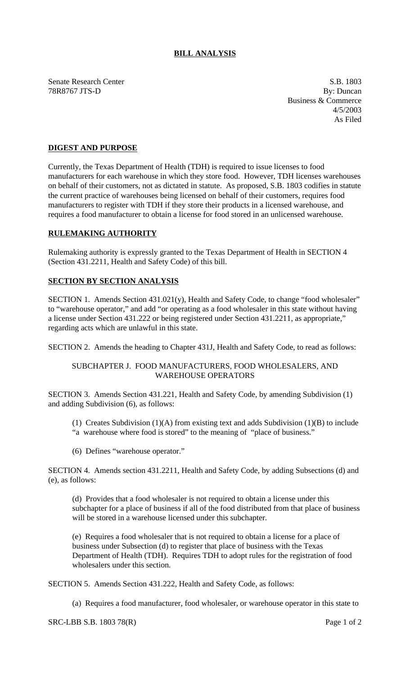# **BILL ANALYSIS**

Senate Research Center S.B. 1803 78R8767 JTS-D By: Duncan

Business & Commerce 4/5/2003 As Filed

# **DIGEST AND PURPOSE**

Currently, the Texas Department of Health (TDH) is required to issue licenses to food manufacturers for each warehouse in which they store food. However, TDH licenses warehouses on behalf of their customers, not as dictated in statute. As proposed, S.B. 1803 codifies in statute the current practice of warehouses being licensed on behalf of their customers, requires food manufacturers to register with TDH if they store their products in a licensed warehouse, and requires a food manufacturer to obtain a license for food stored in an unlicensed warehouse.

### **RULEMAKING AUTHORITY**

Rulemaking authority is expressly granted to the Texas Department of Health in SECTION 4 (Section 431.2211, Health and Safety Code) of this bill.

#### **SECTION BY SECTION ANALYSIS**

SECTION 1. Amends Section 431.021(y), Health and Safety Code, to change "food wholesaler" to "warehouse operator," and add "or operating as a food wholesaler in this state without having a license under Section 431.222 or being registered under Section 431.2211, as appropriate," regarding acts which are unlawful in this state.

SECTION 2. Amends the heading to Chapter 431J, Health and Safety Code, to read as follows:

### SUBCHAPTER J. FOOD MANUFACTURERS, FOOD WHOLESALERS, AND WAREHOUSE OPERATORS

SECTION 3. Amends Section 431.221, Health and Safety Code, by amending Subdivision (1) and adding Subdivision (6), as follows:

- (1) Creates Subdivision (1)(A) from existing text and adds Subdivision (1)(B) to include "a warehouse where food is stored" to the meaning of "place of business."
- (6) Defines "warehouse operator."

SECTION 4. Amends section 431.2211, Health and Safety Code, by adding Subsections (d) and (e), as follows:

(d) Provides that a food wholesaler is not required to obtain a license under this subchapter for a place of business if all of the food distributed from that place of business will be stored in a warehouse licensed under this subchapter.

(e) Requires a food wholesaler that is not required to obtain a license for a place of business under Subsection (d) to register that place of business with the Texas Department of Health (TDH). Requires TDH to adopt rules for the registration of food wholesalers under this section.

SECTION 5. Amends Section 431.222, Health and Safety Code, as follows:

(a) Requires a food manufacturer, food wholesaler, or warehouse operator in this state to

SRC-LBB S.B. 1803 78(R) Page 1 of 2